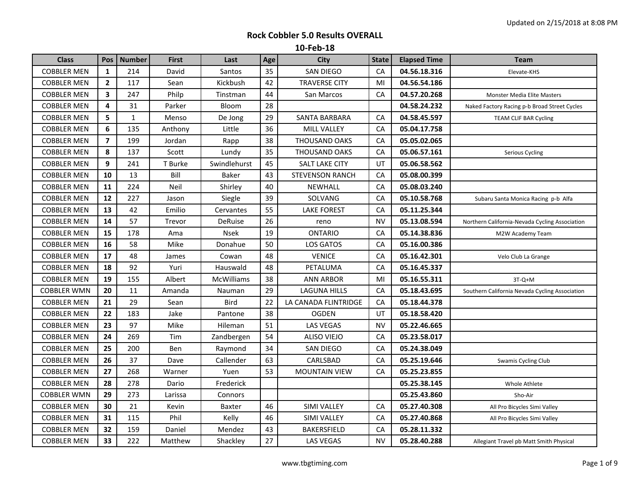| <b>Class</b>       | <b>Pos</b>              | <b>Number</b> | <b>First</b> | Last          | Age | <b>City</b>            | <b>State</b> | <b>Elapsed Time</b> | Team                                           |
|--------------------|-------------------------|---------------|--------------|---------------|-----|------------------------|--------------|---------------------|------------------------------------------------|
| <b>COBBLER MEN</b> | $\mathbf{1}$            | 214           | David        | Santos        | 35  | SAN DIEGO              | CA           | 04.56.18.316        | Elevate-KHS                                    |
| <b>COBBLER MEN</b> | $\overline{2}$          | 117           | Sean         | Kickbush      | 42  | <b>TRAVERSE CITY</b>   | MI           | 04.56.54.186        |                                                |
| <b>COBBLER MEN</b> | 3                       | 247           | Philp        | Tinstman      | 44  | San Marcos             | CA           | 04.57.20.268        | <b>Monster Media Elite Masters</b>             |
| <b>COBBLER MEN</b> | 4                       | 31            | Parker       | Bloom         | 28  |                        |              | 04.58.24.232        | Naked Factory Racing p-b Broad Street Cycles   |
| <b>COBBLER MEN</b> | 5                       | $\mathbf{1}$  | Menso        | De Jong       | 29  | SANTA BARBARA          | CA           | 04.58.45.597        | <b>TEAM CLIF BAR Cycling</b>                   |
| <b>COBBLER MEN</b> | 6                       | 135           | Anthony      | Little        | 36  | MILL VALLEY            | CA           | 05.04.17.758        |                                                |
| <b>COBBLER MEN</b> | $\overline{\mathbf{z}}$ | 199           | Jordan       | Rapp          | 38  | THOUSAND OAKS          | CA           | 05.05.02.065        |                                                |
| <b>COBBLER MEN</b> | 8                       | 137           | Scott        | Lundy         | 35  | <b>THOUSAND OAKS</b>   | CA           | 05.06.57.161        | Serious Cycling                                |
| <b>COBBLER MEN</b> | 9                       | 241           | T Burke      | Swindlehurst  | 45  | <b>SALT LAKE CITY</b>  | UT           | 05.06.58.562        |                                                |
| <b>COBBLER MEN</b> | 10                      | 13            | Bill         | <b>Baker</b>  | 43  | <b>STEVENSON RANCH</b> | CA           | 05.08.00.399        |                                                |
| <b>COBBLER MEN</b> | 11                      | 224           | Neil         | Shirley       | 40  | NEWHALL                | CA           | 05.08.03.240        |                                                |
| <b>COBBLER MEN</b> | 12                      | 227           | Jason        | Siegle        | 39  | SOLVANG                | CA           | 05.10.58.768        | Subaru Santa Monica Racing p-b Alfa            |
| <b>COBBLER MEN</b> | 13                      | 42            | Emilio       | Cervantes     | 55  | <b>LAKE FOREST</b>     | CA           | 05.11.25.344        |                                                |
| <b>COBBLER MEN</b> | 14                      | 57            | Trevor       | DeRuise       | 26  | reno                   | <b>NV</b>    | 05.13.08.594        | Northern California-Nevada Cycling Association |
| <b>COBBLER MEN</b> | 15                      | 178           | Ama          | <b>Nsek</b>   | 19  | <b>ONTARIO</b>         | CA           | 05.14.38.836        | M2W Academy Team                               |
| <b>COBBLER MEN</b> | 16                      | 58            | Mike         | Donahue       | 50  | <b>LOS GATOS</b>       | CA           | 05.16.00.386        |                                                |
| <b>COBBLER MEN</b> | 17                      | 48            | James        | Cowan         | 48  | <b>VENICE</b>          | CA           | 05.16.42.301        | Velo Club La Grange                            |
| <b>COBBLER MEN</b> | 18                      | 92            | Yuri         | Hauswald      | 48  | PETALUMA               | CA           | 05.16.45.337        |                                                |
| <b>COBBLER MEN</b> | 19                      | 155           | Albert       | McWilliams    | 38  | ANN ARBOR              | MI           | 05.16.55.311        | 3T-Q+M                                         |
| <b>COBBLER WMN</b> | 20                      | 11            | Amanda       | Nauman        | 29  | <b>LAGUNA HILLS</b>    | CA           | 05.18.43.695        | Southern California Nevada Cycling Association |
| <b>COBBLER MEN</b> | 21                      | 29            | Sean         | Bird          | 22  | LA CANADA FLINTRIDGE   | CA           | 05.18.44.378        |                                                |
| <b>COBBLER MEN</b> | 22                      | 183           | Jake         | Pantone       | 38  | <b>OGDEN</b>           | UT           | 05.18.58.420        |                                                |
| <b>COBBLER MEN</b> | 23                      | 97            | Mike         | Hileman       | 51  | <b>LAS VEGAS</b>       | <b>NV</b>    | 05.22.46.665        |                                                |
| <b>COBBLER MEN</b> | 24                      | 269           | Tim          | Zandbergen    | 54  | <b>ALISO VIEJO</b>     | CA           | 05.23.58.017        |                                                |
| <b>COBBLER MEN</b> | 25                      | 200           | Ben          | Raymond       | 34  | SAN DIEGO              | CA           | 05.24.38.049        |                                                |
| <b>COBBLER MEN</b> | 26                      | 37            | Dave         | Callender     | 63  | CARLSBAD               | CA           | 05.25.19.646        | Swamis Cycling Club                            |
| <b>COBBLER MEN</b> | 27                      | 268           | Warner       | Yuen          | 53  | <b>MOUNTAIN VIEW</b>   | CA           | 05.25.23.855        |                                                |
| <b>COBBLER MEN</b> | 28                      | 278           | Dario        | Frederick     |     |                        |              | 05.25.38.145        | Whole Athlete                                  |
| <b>COBBLER WMN</b> | 29                      | 273           | Larissa      | Connors       |     |                        |              | 05.25.43.860        | Sho-Air                                        |
| <b>COBBLER MEN</b> | 30                      | 21            | Kevin        | <b>Baxter</b> | 46  | SIMI VALLEY            | CA           | 05.27.40.308        | All Pro Bicycles Simi Valley                   |
| <b>COBBLER MEN</b> | 31                      | 115           | Phil         | Kelly         | 46  | SIMI VALLEY            | CA           | 05.27.40.868        | All Pro Bicycles Simi Valley                   |
| <b>COBBLER MEN</b> | 32                      | 159           | Daniel       | Mendez        | 43  | <b>BAKERSFIELD</b>     | CA           | 05.28.11.332        |                                                |
| <b>COBBLER MEN</b> | 33                      | 222           | Matthew      | Shackley      | 27  | LAS VEGAS              | <b>NV</b>    | 05.28.40.288        | Allegiant Travel pb Matt Smith Physical        |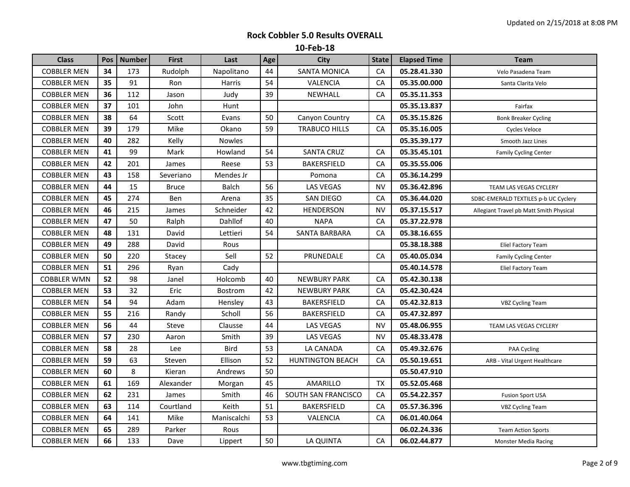| <b>Class</b>       | <b>Pos</b> | <b>Number</b> | <b>First</b> | Last           | Age | <b>City</b>             | <b>State</b> | <b>Elapsed Time</b> | <b>Team</b>                             |
|--------------------|------------|---------------|--------------|----------------|-----|-------------------------|--------------|---------------------|-----------------------------------------|
| <b>COBBLER MEN</b> | 34         | 173           | Rudolph      | Napolitano     | 44  | <b>SANTA MONICA</b>     | CA           | 05.28.41.330        | Velo Pasadena Team                      |
| <b>COBBLER MEN</b> | 35         | 91            | Ron          | Harris         | 54  | VALENCIA                | СA           | 05.35.00.000        | Santa Clarita Velo                      |
| <b>COBBLER MEN</b> | 36         | 112           | Jason        | Judy           | 39  | NEWHALL                 | <b>CA</b>    | 05.35.11.353        |                                         |
| <b>COBBLER MEN</b> | 37         | 101           | John         | Hunt           |     |                         |              | 05.35.13.837        | Fairfax                                 |
| <b>COBBLER MEN</b> | 38         | 64            | Scott        | Evans          | 50  | Canyon Country          | CA           | 05.35.15.826        | <b>Bonk Breaker Cycling</b>             |
| <b>COBBLER MEN</b> | 39         | 179           | Mike         | Okano          | 59  | <b>TRABUCO HILLS</b>    | СA           | 05.35.16.005        | Cycles Veloce                           |
| <b>COBBLER MEN</b> | 40         | 282           | Kelly        | <b>Nowles</b>  |     |                         |              | 05.35.39.177        | Smooth Jazz Lines                       |
| <b>COBBLER MEN</b> | 41         | 99            | Mark         | Howland        | 54  | <b>SANTA CRUZ</b>       | CA           | 05.35.45.101        | <b>Family Cycling Center</b>            |
| <b>COBBLER MEN</b> | 42         | 201           | James        | Reese          | 53  | <b>BAKERSFIELD</b>      | CA           | 05.35.55.006        |                                         |
| <b>COBBLER MEN</b> | 43         | 158           | Severiano    | Mendes Jr      |     | Pomona                  | CA           | 05.36.14.299        |                                         |
| <b>COBBLER MEN</b> | 44         | 15            | <b>Bruce</b> | <b>Balch</b>   | 56  | LAS VEGAS               | NV           | 05.36.42.896        | TEAM LAS VEGAS CYCLERY                  |
| <b>COBBLER MEN</b> | 45         | 274           | Ben          | Arena          | 35  | SAN DIEGO               | CA           | 05.36.44.020        | SDBC-EMERALD TEXTILES p-b UC Cyclery    |
| <b>COBBLER MEN</b> | 46         | 215           | James        | Schneider      | 42  | <b>HENDERSON</b>        | NV           | 05.37.15.517        | Allegiant Travel pb Matt Smith Physical |
| <b>COBBLER MEN</b> | 47         | 50            | Ralph        | Dahllof        | 40  | <b>NAPA</b>             | CA           | 05.37.22.978        |                                         |
| <b>COBBLER MEN</b> | 48         | 131           | David        | Lettieri       | 54  | SANTA BARBARA           | CA           | 05.38.16.655        |                                         |
| <b>COBBLER MEN</b> | 49         | 288           | David        | Rous           |     |                         |              | 05.38.18.388        | Eliel Factory Team                      |
| <b>COBBLER MEN</b> | 50         | 220           | Stacey       | Sell           | 52  | PRUNEDALE               | CA           | 05.40.05.034        | <b>Family Cycling Center</b>            |
| <b>COBBLER MEN</b> | 51         | 296           | Ryan         | Cady           |     |                         |              | 05.40.14.578        | Eliel Factory Team                      |
| <b>COBBLER WMN</b> | 52         | 98            | Janel        | Holcomb        | 40  | <b>NEWBURY PARK</b>     | CA           | 05.42.30.138        |                                         |
| <b>COBBLER MEN</b> | 53         | 32            | Eric         | <b>Bostrom</b> | 42  | <b>NEWBURY PARK</b>     | CA           | 05.42.30.424        |                                         |
| <b>COBBLER MEN</b> | 54         | 94            | Adam         | Hensley        | 43  | BAKERSFIELD             | CA           | 05.42.32.813        | <b>VBZ Cycling Team</b>                 |
| <b>COBBLER MEN</b> | 55         | 216           | Randy        | Scholl         | 56  | BAKERSFIELD             | CA           | 05.47.32.897        |                                         |
| <b>COBBLER MEN</b> | 56         | 44            | Steve        | Clausse        | 44  | LAS VEGAS               | <b>NV</b>    | 05.48.06.955        | TEAM LAS VEGAS CYCLERY                  |
| <b>COBBLER MEN</b> | 57         | 230           | Aaron        | Smith          | 39  | LAS VEGAS               | <b>NV</b>    | 05.48.33.478        |                                         |
| <b>COBBLER MEN</b> | 58         | 28            | Lee          | <b>Bird</b>    | 53  | LA CANADA               | CA           | 05.49.32.676        | PAA Cycling                             |
| <b>COBBLER MEN</b> | 59         | 63            | Steven       | Ellison        | 52  | <b>HUNTINGTON BEACH</b> | CA           | 05.50.19.651        | ARB - Vital Urgent Healthcare           |
| <b>COBBLER MEN</b> | 60         | 8             | Kieran       | Andrews        | 50  |                         |              | 05.50.47.910        |                                         |
| <b>COBBLER MEN</b> | 61         | 169           | Alexander    | Morgan         | 45  | AMARILLO                | <b>TX</b>    | 05.52.05.468        |                                         |
| <b>COBBLER MEN</b> | 62         | 231           | James        | Smith          | 46  | SOUTH SAN FRANCISCO     | CA           | 05.54.22.357        | <b>Fusion Sport USA</b>                 |
| <b>COBBLER MEN</b> | 63         | 114           | Courtland    | Keith          | 51  | BAKERSFIELD             | СA           | 05.57.36.396        | <b>VBZ Cycling Team</b>                 |
| COBBLER MEN        | 64         | 141           | Mike         | Maniscalchi    | 53  | VALENCIA                | СA           | 06.01.40.064        |                                         |
| <b>COBBLER MEN</b> | 65         | 289           | Parker       | Rous           |     |                         |              | 06.02.24.336        | <b>Team Action Sports</b>               |
| <b>COBBLER MEN</b> | 66         | 133           | Dave         | Lippert        | 50  | LA QUINTA               | CA           | 06.02.44.877        | <b>Monster Media Racing</b>             |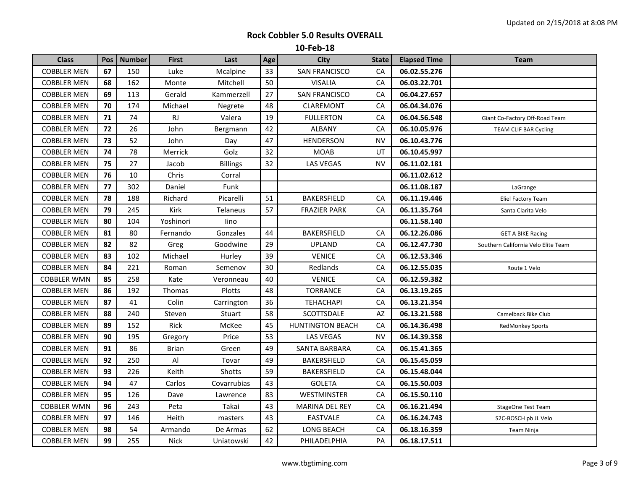| <b>Class</b>       | <b>Pos</b> | <b>Number</b> | <b>First</b> | Last            | Age | <b>City</b>             | <b>State</b> | <b>Elapsed Time</b> | <b>Team</b>                         |
|--------------------|------------|---------------|--------------|-----------------|-----|-------------------------|--------------|---------------------|-------------------------------------|
| <b>COBBLER MEN</b> | 67         | 150           | Luke         | Mcalpine        | 33  | <b>SAN FRANCISCO</b>    | CA           | 06.02.55.276        |                                     |
| <b>COBBLER MEN</b> | 68         | 162           | Monte        | Mitchell        | 50  | <b>VISALIA</b>          | CA           | 06.03.22.701        |                                     |
| <b>COBBLER MEN</b> | 69         | 113           | Gerald       | Kammerzell      | 27  | <b>SAN FRANCISCO</b>    | CA           | 06.04.27.657        |                                     |
| <b>COBBLER MEN</b> | 70         | 174           | Michael      | Negrete         | 48  | <b>CLAREMONT</b>        | CA           | 06.04.34.076        |                                     |
| <b>COBBLER MEN</b> | 71         | 74            | RJ           | Valera          | 19  | <b>FULLERTON</b>        | CA           | 06.04.56.548        | Giant Co-Factory Off-Road Team      |
| <b>COBBLER MEN</b> | 72         | 26            | John         | Bergmann        | 42  | ALBANY                  | CA           | 06.10.05.976        | TEAM CLIF BAR Cycling               |
| <b>COBBLER MEN</b> | 73         | 52            | John         | Day             | 47  | <b>HENDERSON</b>        | <b>NV</b>    | 06.10.43.776        |                                     |
| <b>COBBLER MEN</b> | 74         | 78            | Merrick      | Golz            | 32  | <b>MOAB</b>             | UT           | 06.10.45.997        |                                     |
| <b>COBBLER MEN</b> | 75         | 27            | Jacob        | <b>Billings</b> | 32  | LAS VEGAS               | <b>NV</b>    | 06.11.02.181        |                                     |
| <b>COBBLER MEN</b> | 76         | 10            | Chris        | Corral          |     |                         |              | 06.11.02.612        |                                     |
| <b>COBBLER MEN</b> | 77         | 302           | Daniel       | Funk            |     |                         |              | 06.11.08.187        | LaGrange                            |
| <b>COBBLER MEN</b> | 78         | 188           | Richard      | Picarelli       | 51  | <b>BAKERSFIELD</b>      | CA           | 06.11.19.446        | Eliel Factory Team                  |
| <b>COBBLER MEN</b> | 79         | 245           | Kirk         | Telaneus        | 57  | <b>FRAZIER PARK</b>     | CA           | 06.11.35.764        | Santa Clarita Velo                  |
| <b>COBBLER MEN</b> | 80         | 104           | Yoshinori    | lino            |     |                         |              | 06.11.58.140        |                                     |
| <b>COBBLER MEN</b> | 81         | 80            | Fernando     | Gonzales        | 44  | BAKERSFIELD             | СA           | 06.12.26.086        | <b>GET A BIKE Racing</b>            |
| <b>COBBLER MEN</b> | 82         | 82            | Greg         | Goodwine        | 29  | <b>UPLAND</b>           | CA           | 06.12.47.730        | Southern California Velo Elite Team |
| <b>COBBLER MEN</b> | 83         | 102           | Michael      | Hurley          | 39  | <b>VENICE</b>           | CA           | 06.12.53.346        |                                     |
| <b>COBBLER MEN</b> | 84         | 221           | Roman        | Semenov         | 30  | Redlands                | CA           | 06.12.55.035        | Route 1 Velo                        |
| <b>COBBLER WMN</b> | 85         | 258           | Kate         | Veronneau       | 40  | <b>VENICE</b>           | CA           | 06.12.59.382        |                                     |
| <b>COBBLER MEN</b> | 86         | 192           | Thomas       | Plotts          | 48  | <b>TORRANCE</b>         | CA           | 06.13.19.265        |                                     |
| <b>COBBLER MEN</b> | 87         | 41            | Colin        | Carrington      | 36  | <b>TEHACHAPI</b>        | CA           | 06.13.21.354        |                                     |
| <b>COBBLER MEN</b> | 88         | 240           | Steven       | Stuart          | 58  | SCOTTSDALE              | AZ           | 06.13.21.588        | Camelback Bike Club                 |
| <b>COBBLER MEN</b> | 89         | 152           | Rick         | McKee           | 45  | <b>HUNTINGTON BEACH</b> | CA           | 06.14.36.498        | <b>RedMonkey Sports</b>             |
| <b>COBBLER MEN</b> | 90         | 195           | Gregory      | Price           | 53  | LAS VEGAS               | <b>NV</b>    | 06.14.39.358        |                                     |
| <b>COBBLER MEN</b> | 91         | 86            | <b>Brian</b> | Green           | 49  | SANTA BARBARA           | CA           | 06.15.41.365        |                                     |
| <b>COBBLER MEN</b> | 92         | 250           | AI           | Tovar           | 49  | BAKERSFIELD             | CA           | 06.15.45.059        |                                     |
| <b>COBBLER MEN</b> | 93         | 226           | Keith        | Shotts          | 59  | BAKERSFIELD             | CA           | 06.15.48.044        |                                     |
| <b>COBBLER MEN</b> | 94         | 47            | Carlos       | Covarrubias     | 43  | <b>GOLETA</b>           | CA           | 06.15.50.003        |                                     |
| <b>COBBLER MEN</b> | 95         | 126           | Dave         | Lawrence        | 83  | WESTMINSTER             | CA           | 06.15.50.110        |                                     |
| <b>COBBLER WMN</b> | 96         | 243           | Peta         | Takai           | 43  | MARINA DEL REY          | CA           | 06.16.21.494        | <b>StageOne Test Team</b>           |
| <b>COBBLER MEN</b> | 97         | 146           | Heith        | masters         | 43  | <b>EASTVALE</b>         | CA           | 06.16.24.743        | S2C-BOSCH pb JL Velo                |
| <b>COBBLER MEN</b> | 98         | 54            | Armando      | De Armas        | 62  | LONG BEACH              | CA           | 06.18.16.359        | <b>Team Ninja</b>                   |
| <b>COBBLER MEN</b> | 99         | 255           | <b>Nick</b>  | Uniatowski      | 42  | PHILADELPHIA            | PA           | 06.18.17.511        |                                     |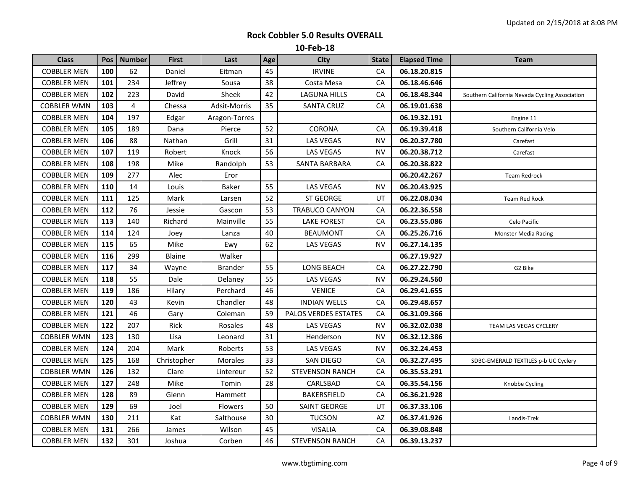| <b>Class</b>       |     | Pos   Number | <b>First</b>  | Last           | Age | <b>City</b>            | <b>State</b> | <b>Elapsed Time</b> | Team                                           |
|--------------------|-----|--------------|---------------|----------------|-----|------------------------|--------------|---------------------|------------------------------------------------|
| <b>COBBLER MEN</b> | 100 | 62           | Daniel        | Eitman         | 45  | <b>IRVINE</b>          | CA           | 06.18.20.815        |                                                |
| <b>COBBLER MEN</b> | 101 | 234          | Jeffrey       | Sousa          | 38  | Costa Mesa             | CA           | 06.18.46.646        |                                                |
| <b>COBBLER MEN</b> | 102 | 223          | David         | Sheek          | 42  | LAGUNA HILLS           | CA           | 06.18.48.344        | Southern California Nevada Cycling Association |
| <b>COBBLER WMN</b> | 103 | 4            | Chessa        | Adsit-Morris   | 35  | <b>SANTA CRUZ</b>      | CA           | 06.19.01.638        |                                                |
| <b>COBBLER MEN</b> | 104 | 197          | Edgar         | Aragon-Torres  |     |                        |              | 06.19.32.191        | Engine 11                                      |
| <b>COBBLER MEN</b> | 105 | 189          | Dana          | Pierce         | 52  | <b>CORONA</b>          | CA           | 06.19.39.418        | Southern California Velo                       |
| <b>COBBLER MEN</b> | 106 | 88           | Nathan        | Grill          | 31  | <b>LAS VEGAS</b>       | <b>NV</b>    | 06.20.37.780        | Carefast                                       |
| <b>COBBLER MEN</b> | 107 | 119          | Robert        | Knock          | 56  | LAS VEGAS              | <b>NV</b>    | 06.20.38.712        | Carefast                                       |
| <b>COBBLER MEN</b> | 108 | 198          | Mike          | Randolph       | 53  | SANTA BARBARA          | CA           | 06.20.38.822        |                                                |
| <b>COBBLER MEN</b> | 109 | 277          | Alec          | Eror           |     |                        |              | 06.20.42.267        | <b>Team Redrock</b>                            |
| <b>COBBLER MEN</b> | 110 | 14           | Louis         | <b>Baker</b>   | 55  | <b>LAS VEGAS</b>       | <b>NV</b>    | 06.20.43.925        |                                                |
| <b>COBBLER MEN</b> | 111 | 125          | Mark          | Larsen         | 52  | <b>ST GEORGE</b>       | UT           | 06.22.08.034        | Team Red Rock                                  |
| <b>COBBLER MEN</b> | 112 | 76           | Jessie        | Gascon         | 53  | <b>TRABUCO CANYON</b>  | CA           | 06.22.36.558        |                                                |
| <b>COBBLER MEN</b> | 113 | 140          | Richard       | Mainville      | 55  | <b>LAKE FOREST</b>     | CA           | 06.23.55.086        | Celo Pacific                                   |
| <b>COBBLER MEN</b> | 114 | 124          | Joey          | Lanza          | 40  | <b>BEAUMONT</b>        | CA           | 06.25.26.716        | <b>Monster Media Racing</b>                    |
| <b>COBBLER MEN</b> | 115 | 65           | Mike          | Ewy            | 62  | LAS VEGAS              | NV           | 06.27.14.135        |                                                |
| <b>COBBLER MEN</b> | 116 | 299          | <b>Blaine</b> | Walker         |     |                        |              | 06.27.19.927        |                                                |
| <b>COBBLER MEN</b> | 117 | 34           | Wayne         | <b>Brander</b> | 55  | LONG BEACH             | CA           | 06.27.22.790        | G2 Bike                                        |
| <b>COBBLER MEN</b> | 118 | 55           | Dale          | Delaney        | 55  | <b>LAS VEGAS</b>       | <b>NV</b>    | 06.29.24.560        |                                                |
| <b>COBBLER MEN</b> | 119 | 186          | Hilary        | Perchard       | 46  | <b>VENICE</b>          | CA           | 06.29.41.655        |                                                |
| <b>COBBLER MEN</b> | 120 | 43           | Kevin         | Chandler       | 48  | <b>INDIAN WELLS</b>    | CA           | 06.29.48.657        |                                                |
| <b>COBBLER MEN</b> | 121 | 46           | Gary          | Coleman        | 59  | PALOS VERDES ESTATES   | CA           | 06.31.09.366        |                                                |
| <b>COBBLER MEN</b> | 122 | 207          | Rick          | Rosales        | 48  | <b>LAS VEGAS</b>       | <b>NV</b>    | 06.32.02.038        | TEAM LAS VEGAS CYCLERY                         |
| <b>COBBLER WMN</b> | 123 | 130          | Lisa          | Leonard        | 31  | Henderson              | <b>NV</b>    | 06.32.12.386        |                                                |
| <b>COBBLER MEN</b> | 124 | 204          | Mark          | Roberts        | 53  | LAS VEGAS              | <b>NV</b>    | 06.32.24.453        |                                                |
| <b>COBBLER MEN</b> | 125 | 168          | Christopher   | Morales        | 33  | SAN DIEGO              | CA           | 06.32.27.495        | SDBC-EMERALD TEXTILES p-b UC Cyclery           |
| <b>COBBLER WMN</b> | 126 | 132          | Clare         | Lintereur      | 52  | <b>STEVENSON RANCH</b> | CA           | 06.35.53.291        |                                                |
| <b>COBBLER MEN</b> | 127 | 248          | Mike          | Tomin          | 28  | CARLSBAD               | CA           | 06.35.54.156        | Knobbe Cycling                                 |
| <b>COBBLER MEN</b> | 128 | 89           | Glenn         | Hammett        |     | <b>BAKERSFIELD</b>     | CA           | 06.36.21.928        |                                                |
| <b>COBBLER MEN</b> | 129 | 69           | Joel          | Flowers        | 50  | <b>SAINT GEORGE</b>    | UT           | 06.37.33.106        |                                                |
| <b>COBBLER WMN</b> | 130 | 211          | Kat           | Salthouse      | 30  | <b>TUCSON</b>          | AZ           | 06.37.41.926        | Landis-Trek                                    |
| <b>COBBLER MEN</b> | 131 | 266          | James         | Wilson         | 45  | <b>VISALIA</b>         | CA           | 06.39.08.848        |                                                |
| <b>COBBLER MEN</b> | 132 | 301          | Joshua        | Corben         | 46  | <b>STEVENSON RANCH</b> | CA           | 06.39.13.237        |                                                |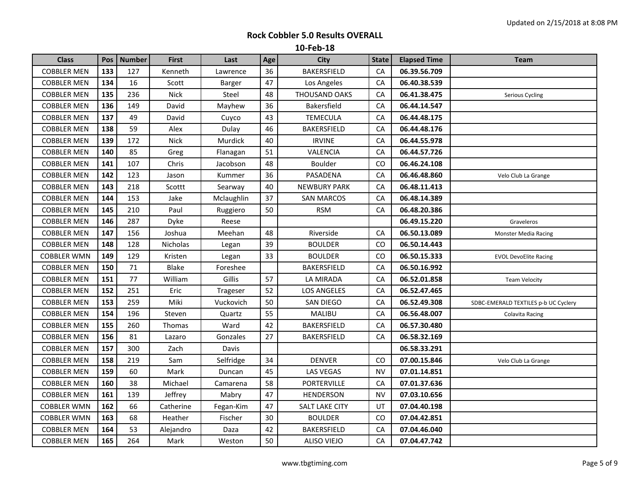| <b>Class</b>       | Pos | <b>Number</b> | <b>First</b> | Last          | Age | <b>City</b>           | <b>State</b> | <b>Elapsed Time</b> | <b>Team</b>                          |
|--------------------|-----|---------------|--------------|---------------|-----|-----------------------|--------------|---------------------|--------------------------------------|
| <b>COBBLER MEN</b> | 133 | 127           | Kenneth      | Lawrence      | 36  | <b>BAKERSFIELD</b>    | CA           | 06.39.56.709        |                                      |
| <b>COBBLER MEN</b> | 134 | 16            | Scott        | <b>Barger</b> | 47  | Los Angeles           | CA           | 06.40.38.539        |                                      |
| <b>COBBLER MEN</b> | 135 | 236           | <b>Nick</b>  | Steel         | 48  | THOUSAND OAKS         | CA           | 06.41.38.475        | Serious Cycling                      |
| <b>COBBLER MEN</b> | 136 | 149           | David        | Mayhew        | 36  | Bakersfield           | CA           | 06.44.14.547        |                                      |
| <b>COBBLER MEN</b> | 137 | 49            | David        | Cuyco         | 43  | TEMECULA              | CA           | 06.44.48.175        |                                      |
| <b>COBBLER MEN</b> | 138 | 59            | Alex         | Dulay         | 46  | BAKERSFIELD           | CA           | 06.44.48.176        |                                      |
| <b>COBBLER MEN</b> | 139 | 172           | <b>Nick</b>  | Murdick       | 40  | <b>IRVINE</b>         | CA           | 06.44.55.978        |                                      |
| <b>COBBLER MEN</b> | 140 | 85            | Greg         | Flanagan      | 51  | VALENCIA              | ${\sf CA}$   | 06.44.57.726        |                                      |
| <b>COBBLER MEN</b> | 141 | 107           | Chris        | Jacobson      | 48  | <b>Boulder</b>        | CO           | 06.46.24.108        |                                      |
| <b>COBBLER MEN</b> | 142 | 123           | Jason        | Kummer        | 36  | PASADENA              | ${\sf CA}$   | 06.46.48.860        | Velo Club La Grange                  |
| <b>COBBLER MEN</b> | 143 | 218           | Scottt       | Searway       | 40  | <b>NEWBURY PARK</b>   | CA           | 06.48.11.413        |                                      |
| <b>COBBLER MEN</b> | 144 | 153           | Jake         | Mclaughlin    | 37  | <b>SAN MARCOS</b>     | CA           | 06.48.14.389        |                                      |
| <b>COBBLER MEN</b> | 145 | 210           | Paul         | Ruggiero      | 50  | <b>RSM</b>            | CA           | 06.48.20.386        |                                      |
| <b>COBBLER MEN</b> | 146 | 287           | Dyke         | Reese         |     |                       |              | 06.49.15.220        | Graveleros                           |
| <b>COBBLER MEN</b> | 147 | 156           | Joshua       | Meehan        | 48  | Riverside             | CA           | 06.50.13.089        | Monster Media Racing                 |
| <b>COBBLER MEN</b> | 148 | 128           | Nicholas     | Legan         | 39  | <b>BOULDER</b>        | CO           | 06.50.14.443        |                                      |
| <b>COBBLER WMN</b> | 149 | 129           | Kristen      | Legan         | 33  | <b>BOULDER</b>        | CO           | 06.50.15.333        | <b>EVOL DevoElite Racing</b>         |
| <b>COBBLER MEN</b> | 150 | 71            | Blake        | Foreshee      |     | <b>BAKERSFIELD</b>    | CA           | 06.50.16.992        |                                      |
| <b>COBBLER MEN</b> | 151 | 77            | William      | Gillis        | 57  | LA MIRADA             | CA           | 06.52.01.858        | <b>Team Velocity</b>                 |
| <b>COBBLER MEN</b> | 152 | 251           | Eric         | Trageser      | 52  | <b>LOS ANGELES</b>    | CA           | 06.52.47.465        |                                      |
| <b>COBBLER MEN</b> | 153 | 259           | Miki         | Vuckovich     | 50  | SAN DIEGO             | CA           | 06.52.49.308        | SDBC-EMERALD TEXTILES p-b UC Cyclery |
| <b>COBBLER MEN</b> | 154 | 196           | Steven       | Quartz        | 55  | MALIBU                | ${\sf CA}$   | 06.56.48.007        | Colavita Racing                      |
| <b>COBBLER MEN</b> | 155 | 260           | Thomas       | Ward          | 42  | BAKERSFIELD           | CA           | 06.57.30.480        |                                      |
| <b>COBBLER MEN</b> | 156 | 81            | Lazaro       | Gonzales      | 27  | BAKERSFIELD           | СA           | 06.58.32.169        |                                      |
| <b>COBBLER MEN</b> | 157 | 300           | Zach         | Davis         |     |                       |              | 06.58.33.291        |                                      |
| <b>COBBLER MEN</b> | 158 | 219           | Sam          | Selfridge     | 34  | <b>DENVER</b>         | CO           | 07.00.15.846        | Velo Club La Grange                  |
| <b>COBBLER MEN</b> | 159 | 60            | Mark         | Duncan        | 45  | <b>LAS VEGAS</b>      | <b>NV</b>    | 07.01.14.851        |                                      |
| <b>COBBLER MEN</b> | 160 | 38            | Michael      | Camarena      | 58  | <b>PORTERVILLE</b>    | CA           | 07.01.37.636        |                                      |
| <b>COBBLER MEN</b> | 161 | 139           | Jeffrey      | Mabry         | 47  | <b>HENDERSON</b>      | <b>NV</b>    | 07.03.10.656        |                                      |
| <b>COBBLER WMN</b> | 162 | 66            | Catherine    | Fegan-Kim     | 47  | <b>SALT LAKE CITY</b> | UT           | 07.04.40.198        |                                      |
| <b>COBBLER WMN</b> | 163 | 68            | Heather      | Fischer       | 30  | <b>BOULDER</b>        | CO           | 07.04.42.851        |                                      |
| <b>COBBLER MEN</b> | 164 | 53            | Alejandro    | Daza          | 42  | <b>BAKERSFIELD</b>    | CA           | 07.04.46.040        |                                      |
| <b>COBBLER MEN</b> | 165 | 264           | Mark         | Weston        | 50  | <b>ALISO VIEJO</b>    | ${\sf CA}$   | 07.04.47.742        |                                      |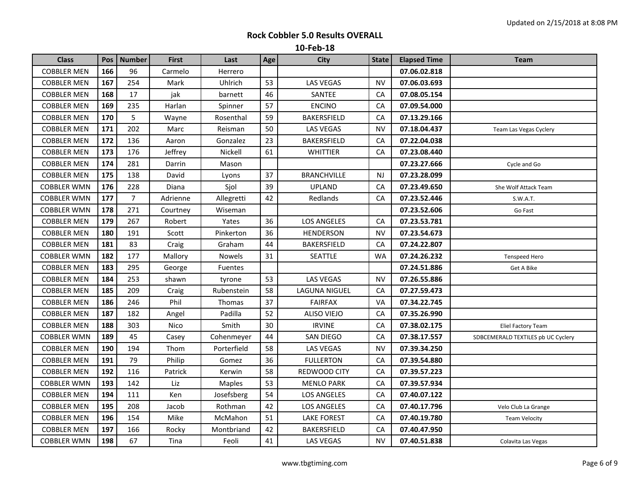| <b>Class</b>       | Pos | <b>Number</b>  | <b>First</b> | Last           | Age | City               | <b>State</b> | <b>Elapsed Time</b> | Team                               |
|--------------------|-----|----------------|--------------|----------------|-----|--------------------|--------------|---------------------|------------------------------------|
| <b>COBBLER MEN</b> | 166 | 96             | Carmelo      | Herrero        |     |                    |              | 07.06.02.818        |                                    |
| <b>COBBLER MEN</b> | 167 | 254            | Mark         | Uhlrich        | 53  | <b>LAS VEGAS</b>   | <b>NV</b>    | 07.06.03.693        |                                    |
| <b>COBBLER MEN</b> | 168 | 17             | jak          | barnett        | 46  | SANTEE             | CA           | 07.08.05.154        |                                    |
| <b>COBBLER MEN</b> | 169 | 235            | Harlan       | Spinner        | 57  | <b>ENCINO</b>      | CA           | 07.09.54.000        |                                    |
| <b>COBBLER MEN</b> | 170 | 5              | Wayne        | Rosenthal      | 59  | BAKERSFIELD        | CA           | 07.13.29.166        |                                    |
| <b>COBBLER MEN</b> | 171 | 202            | Marc         | Reisman        | 50  | LAS VEGAS          | <b>NV</b>    | 07.18.04.437        | Team Las Vegas Cyclery             |
| <b>COBBLER MEN</b> | 172 | 136            | Aaron        | Gonzalez       | 23  | <b>BAKERSFIELD</b> | CA           | 07.22.04.038        |                                    |
| <b>COBBLER MEN</b> | 173 | 176            | Jeffrey      | Nickell        | 61  | <b>WHITTIER</b>    | CA           | 07.23.08.440        |                                    |
| <b>COBBLER MEN</b> | 174 | 281            | Darrin       | Mason          |     |                    |              | 07.23.27.666        | Cycle and Go                       |
| <b>COBBLER MEN</b> | 175 | 138            | David        | Lyons          | 37  | <b>BRANCHVILLE</b> | NJ           | 07.23.28.099        |                                    |
| <b>COBBLER WMN</b> | 176 | 228            | Diana        | Sjol           | 39  | <b>UPLAND</b>      | CA           | 07.23.49.650        | She Wolf Attack Team               |
| <b>COBBLER WMN</b> | 177 | $\overline{7}$ | Adrienne     | Allegretti     | 42  | Redlands           | CA           | 07.23.52.446        | S.W.A.T.                           |
| <b>COBBLER WMN</b> | 178 | 271            | Courtney     | Wiseman        |     |                    |              | 07.23.52.606        | Go Fast                            |
| <b>COBBLER MEN</b> | 179 | 267            | Robert       | Yates          | 36  | <b>LOS ANGELES</b> | CA           | 07.23.53.781        |                                    |
| <b>COBBLER MEN</b> | 180 | 191            | Scott        | Pinkerton      | 36  | <b>HENDERSON</b>   | <b>NV</b>    | 07.23.54.673        |                                    |
| <b>COBBLER MEN</b> | 181 | 83             | Craig        | Graham         | 44  | <b>BAKERSFIELD</b> | CA           | 07.24.22.807        |                                    |
| <b>COBBLER WMN</b> | 182 | 177            | Mallory      | Nowels         | 31  | SEATTLE            | <b>WA</b>    | 07.24.26.232        | Tenspeed Hero                      |
| <b>COBBLER MEN</b> | 183 | 295            | George       | <b>Fuentes</b> |     |                    |              | 07.24.51.886        | Get A Bike                         |
| <b>COBBLER MEN</b> | 184 | 253            | shawn        | tyrone         | 53  | <b>LAS VEGAS</b>   | <b>NV</b>    | 07.26.55.886        |                                    |
| <b>COBBLER MEN</b> | 185 | 209            | Craig        | Rubenstein     | 58  | LAGUNA NIGUEL      | CA           | 07.27.59.473        |                                    |
| <b>COBBLER MEN</b> | 186 | 246            | Phil         | Thomas         | 37  | <b>FAIRFAX</b>     | VA           | 07.34.22.745        |                                    |
| <b>COBBLER MEN</b> | 187 | 182            | Angel        | Padilla        | 52  | <b>ALISO VIEJO</b> | CA           | 07.35.26.990        |                                    |
| <b>COBBLER MEN</b> | 188 | 303            | Nico         | Smith          | 30  | <b>IRVINE</b>      | CA           | 07.38.02.175        | Eliel Factory Team                 |
| <b>COBBLER WMN</b> | 189 | 45             | Casey        | Cohenmeyer     | 44  | SAN DIEGO          | CA           | 07.38.17.557        | SDBCEMERALD TEXTILES pb UC Cyclery |
| <b>COBBLER MEN</b> | 190 | 194            | Thom         | Porterfield    | 58  | LAS VEGAS          | <b>NV</b>    | 07.39.34.250        |                                    |
| <b>COBBLER MEN</b> | 191 | 79             | Philip       | Gomez          | 36  | <b>FULLERTON</b>   | CA           | 07.39.54.880        |                                    |
| <b>COBBLER MEN</b> | 192 | 116            | Patrick      | Kerwin         | 58  | REDWOOD CITY       | CA           | 07.39.57.223        |                                    |
| <b>COBBLER WMN</b> | 193 | 142            | Liz          | <b>Maples</b>  | 53  | <b>MENLO PARK</b>  | CA           | 07.39.57.934        |                                    |
| <b>COBBLER MEN</b> | 194 | 111            | Ken          | Josefsberg     | 54  | <b>LOS ANGELES</b> | CA           | 07.40.07.122        |                                    |
| <b>COBBLER MEN</b> | 195 | 208            | Jacob        | Rothman        | 42  | <b>LOS ANGELES</b> | CA           | 07.40.17.796        | Velo Club La Grange                |
| <b>COBBLER MEN</b> | 196 | 154            | Mike         | McMahon        | 51  | <b>LAKE FOREST</b> | CA           | 07.40.19.780        | <b>Team Velocity</b>               |
| <b>COBBLER MEN</b> | 197 | 166            | Rocky        | Montbriand     | 42  | <b>BAKERSFIELD</b> | CA           | 07.40.47.950        |                                    |
| <b>COBBLER WMN</b> | 198 | 67             | Tina         | Feoli          | 41  | LAS VEGAS          | <b>NV</b>    | 07.40.51.838        | Colavita Las Vegas                 |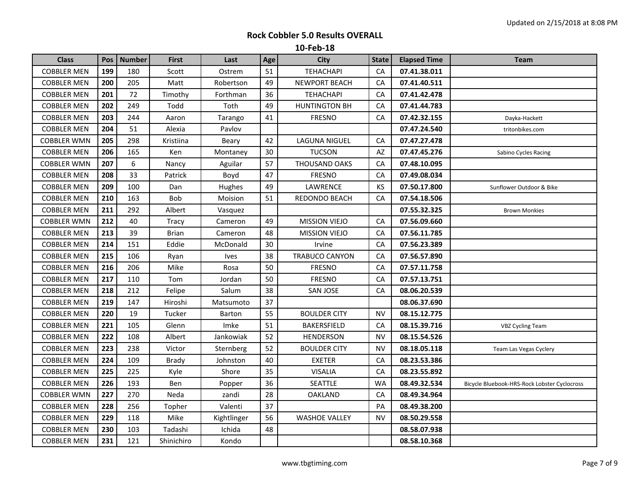| <b>Class</b>       | Pos | <b>Number</b> | <b>First</b> | Last          | Age | <b>City</b>           | <b>State</b> | <b>Elapsed Time</b> | Team                                         |
|--------------------|-----|---------------|--------------|---------------|-----|-----------------------|--------------|---------------------|----------------------------------------------|
| <b>COBBLER MEN</b> | 199 | 180           | Scott        | Ostrem        | 51  | <b>TEHACHAPI</b>      | CA           | 07.41.38.011        |                                              |
| <b>COBBLER MEN</b> | 200 | 205           | Matt         | Robertson     | 49  | NEWPORT BEACH         | CA           | 07.41.40.511        |                                              |
| <b>COBBLER MEN</b> | 201 | 72            | Timothy      | Forthman      | 36  | <b>TEHACHAPI</b>      | CA           | 07.41.42.478        |                                              |
| <b>COBBLER MEN</b> | 202 | 249           | Todd         | Toth          | 49  | <b>HUNTINGTON BH</b>  | CA           | 07.41.44.783        |                                              |
| <b>COBBLER MEN</b> | 203 | 244           | Aaron        | Tarango       | 41  | <b>FRESNO</b>         | CA           | 07.42.32.155        | Dayka-Hackett                                |
| <b>COBBLER MEN</b> | 204 | 51            | Alexia       | Pavlov        |     |                       |              | 07.47.24.540        | tritonbikes.com                              |
| <b>COBBLER WMN</b> | 205 | 298           | Kristiina    | Beary         | 42  | <b>LAGUNA NIGUEL</b>  | ${\sf CA}$   | 07.47.27.478        |                                              |
| <b>COBBLER MEN</b> | 206 | 165           | Ken          | Montaney      | 30  | <b>TUCSON</b>         | AZ           | 07.47.45.276        | Sabino Cycles Racing                         |
| <b>COBBLER WMN</b> | 207 | 6             | Nancy        | Aguilar       | 57  | THOUSAND OAKS         | CA           | 07.48.10.095        |                                              |
| <b>COBBLER MEN</b> | 208 | 33            | Patrick      | Boyd          | 47  | <b>FRESNO</b>         | CA           | 07.49.08.034        |                                              |
| <b>COBBLER MEN</b> | 209 | 100           | Dan          | Hughes        | 49  | LAWRENCE              | KS           | 07.50.17.800        | Sunflower Outdoor & Bike                     |
| <b>COBBLER MEN</b> | 210 | 163           | Bob          | Moision       | 51  | REDONDO BEACH         | СA           | 07.54.18.506        |                                              |
| <b>COBBLER MEN</b> | 211 | 292           | Albert       | Vasquez       |     |                       |              | 07.55.32.325        | <b>Brown Monkies</b>                         |
| <b>COBBLER WMN</b> | 212 | 40            | <b>Tracy</b> | Cameron       | 49  | <b>MISSION VIEJO</b>  | CA           | 07.56.09.660        |                                              |
| <b>COBBLER MEN</b> | 213 | 39            | <b>Brian</b> | Cameron       | 48  | <b>MISSION VIEJO</b>  | CA           | 07.56.11.785        |                                              |
| <b>COBBLER MEN</b> | 214 | 151           | Eddie        | McDonald      | 30  | Irvine                | CA           | 07.56.23.389        |                                              |
| <b>COBBLER MEN</b> | 215 | 106           | Ryan         | <b>Ives</b>   | 38  | <b>TRABUCO CANYON</b> | CA           | 07.56.57.890        |                                              |
| <b>COBBLER MEN</b> | 216 | 206           | Mike         | Rosa          | 50  | <b>FRESNO</b>         | CA           | 07.57.11.758        |                                              |
| <b>COBBLER MEN</b> | 217 | 110           | Tom          | Jordan        | 50  | <b>FRESNO</b>         | CA           | 07.57.13.751        |                                              |
| <b>COBBLER MEN</b> | 218 | 212           | Felipe       | Salum         | 38  | <b>SAN JOSE</b>       | CA           | 08.06.20.539        |                                              |
| <b>COBBLER MEN</b> | 219 | 147           | Hiroshi      | Matsumoto     | 37  |                       |              | 08.06.37.690        |                                              |
| <b>COBBLER MEN</b> | 220 | 19            | Tucker       | <b>Barton</b> | 55  | <b>BOULDER CITY</b>   | <b>NV</b>    | 08.15.12.775        |                                              |
| <b>COBBLER MEN</b> | 221 | 105           | Glenn        | Imke          | 51  | <b>BAKERSFIELD</b>    | CA           | 08.15.39.716        | <b>VBZ Cycling Team</b>                      |
| <b>COBBLER MEN</b> | 222 | 108           | Albert       | Jankowiak     | 52  | <b>HENDERSON</b>      | <b>NV</b>    | 08.15.54.526        |                                              |
| <b>COBBLER MEN</b> | 223 | 238           | Victor       | Sternberg     | 52  | <b>BOULDER CITY</b>   | <b>NV</b>    | 08.18.05.118        | Team Las Vegas Cyclery                       |
| <b>COBBLER MEN</b> | 224 | 109           | <b>Brady</b> | Johnston      | 40  | <b>EXETER</b>         | CA           | 08.23.53.386        |                                              |
| <b>COBBLER MEN</b> | 225 | 225           | Kyle         | Shore         | 35  | <b>VISALIA</b>        | CA           | 08.23.55.892        |                                              |
| <b>COBBLER MEN</b> | 226 | 193           | Ben          | Popper        | 36  | <b>SEATTLE</b>        | <b>WA</b>    | 08.49.32.534        | Bicycle Bluebook-HRS-Rock Lobster Cyclocross |
| <b>COBBLER WMN</b> | 227 | 270           | Neda         | zandi         | 28  | <b>OAKLAND</b>        | CA           | 08.49.34.964        |                                              |
| <b>COBBLER MEN</b> | 228 | 256           | Topher       | Valenti       | 37  |                       | PA           | 08.49.38.200        |                                              |
| <b>COBBLER MEN</b> | 229 | 118           | Mike         | Kightlinger   | 56  | <b>WASHOE VALLEY</b>  | NV           | 08.50.29.558        |                                              |
| <b>COBBLER MEN</b> | 230 | 103           | Tadashi      | Ichida        | 48  |                       |              | 08.58.07.938        |                                              |
| <b>COBBLER MEN</b> | 231 | 121           | Shinichiro   | Kondo         |     |                       |              | 08.58.10.368        |                                              |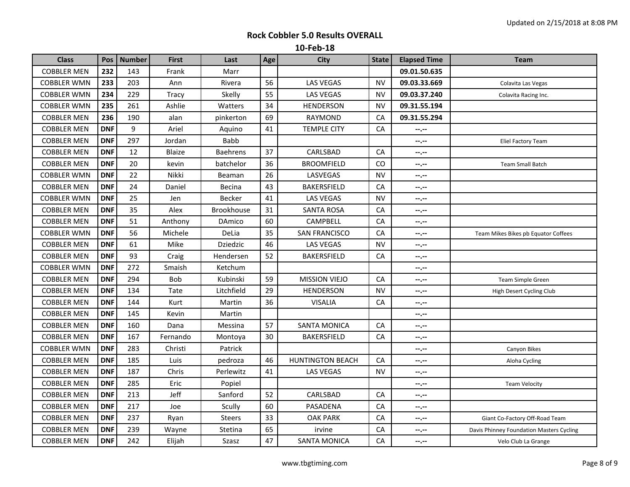| <b>Class</b>       | Pos        | <b>Number</b> | <b>First</b> | Last            | Age | <b>City</b>             | <b>State</b> | <b>Elapsed Time</b> | <b>Team</b>                              |
|--------------------|------------|---------------|--------------|-----------------|-----|-------------------------|--------------|---------------------|------------------------------------------|
| <b>COBBLER MEN</b> | 232        | 143           | Frank        | Marr            |     |                         |              | 09.01.50.635        |                                          |
| <b>COBBLER WMN</b> | 233        | 203           | Ann          | Rivera          | 56  | <b>LAS VEGAS</b>        | <b>NV</b>    | 09.03.33.669        | Colavita Las Vegas                       |
| <b>COBBLER WMN</b> | 234        | 229           | Tracy        | Skelly          | 55  | <b>LAS VEGAS</b>        | <b>NV</b>    | 09.03.37.240        | Colavita Racing Inc.                     |
| <b>COBBLER WMN</b> | 235        | 261           | Ashlie       | Watters         | 34  | <b>HENDERSON</b>        | <b>NV</b>    | 09.31.55.194        |                                          |
| <b>COBBLER MEN</b> | 236        | 190           | alan         | pinkerton       | 69  | RAYMOND                 | CA           | 09.31.55.294        |                                          |
| <b>COBBLER MEN</b> | <b>DNF</b> | 9             | Ariel        | Aquino          | 41  | <b>TEMPLE CITY</b>      | ${\sf CA}$   | $-2 - 1 - 1 = 0$    |                                          |
| <b>COBBLER MEN</b> | <b>DNF</b> | 297           | Jordan       | <b>Babb</b>     |     |                         |              | $-1 - 1 - 1 = 0$    | Eliel Factory Team                       |
| <b>COBBLER MEN</b> | <b>DNF</b> | 12            | Blaize       | <b>Baehrens</b> | 37  | CARLSBAD                | CA           | --.--               |                                          |
| <b>COBBLER MEN</b> | <b>DNF</b> | 20            | kevin        | batchelor       | 36  | <b>BROOMFIELD</b>       | CO           | $-1, -1$            | <b>Team Small Batch</b>                  |
| <b>COBBLER WMN</b> | <b>DNF</b> | 22            | Nikki        | Beaman          | 26  | LASVEGAS                | <b>NV</b>    | --.--               |                                          |
| <b>COBBLER MEN</b> | <b>DNF</b> | 24            | Daniel       | Becina          | 43  | BAKERSFIELD             | CA           | $- - - - -$         |                                          |
| <b>COBBLER WMN</b> | <b>DNF</b> | 25            | Jen          | <b>Becker</b>   | 41  | <b>LAS VEGAS</b>        | NV           | $-1 - 1 - 1 = 0$    |                                          |
| <b>COBBLER MEN</b> | <b>DNF</b> | 35            | Alex         | Brookhouse      | 31  | <b>SANTA ROSA</b>       | CA           | --.--               |                                          |
| <b>COBBLER MEN</b> | <b>DNF</b> | 51            | Anthony      | DAmico          | 60  | CAMPBELL                | CA           | $-2 - 1 - 1 = 0$    |                                          |
| <b>COBBLER WMN</b> | <b>DNF</b> | 56            | Michele      | DeLia           | 35  | <b>SAN FRANCISCO</b>    | CA           | --.--               | Team Mikes Bikes pb Equator Coffees      |
| <b>COBBLER MEN</b> | <b>DNF</b> | 61            | Mike         | Dziedzic        | 46  | <b>LAS VEGAS</b>        | NV           | $-1$                |                                          |
| <b>COBBLER MEN</b> | <b>DNF</b> | 93            | Craig        | Hendersen       | 52  | BAKERSFIELD             | CA           | $-1 - 1 - 1 = 0$    |                                          |
| <b>COBBLER WMN</b> | <b>DNF</b> | 272           | Smaish       | Ketchum         |     |                         |              | --.--               |                                          |
| <b>COBBLER MEN</b> | <b>DNF</b> | 294           | <b>Bob</b>   | Kubinski        | 59  | <b>MISSION VIEJO</b>    | <b>CA</b>    | $-1, -1$            | Team Simple Green                        |
| <b>COBBLER MEN</b> | <b>DNF</b> | 134           | Tate         | Litchfield      | 29  | <b>HENDERSON</b>        | <b>NV</b>    | --.--               | High Desert Cycling Club                 |
| <b>COBBLER MEN</b> | <b>DNF</b> | 144           | Kurt         | Martin          | 36  | <b>VISALIA</b>          | CA           | $- - - - -$         |                                          |
| <b>COBBLER MEN</b> | <b>DNF</b> | 145           | Kevin        | Martin          |     |                         |              | $-1$                |                                          |
| <b>COBBLER MEN</b> | <b>DNF</b> | 160           | Dana         | Messina         | 57  | <b>SANTA MONICA</b>     | CA           | --.--               |                                          |
| <b>COBBLER MEN</b> | <b>DNF</b> | 167           | Fernando     | Montoya         | 30  | BAKERSFIELD             | CA           | $-1$                |                                          |
| <b>COBBLER WMN</b> | <b>DNF</b> | 283           | Christi      | Patrick         |     |                         |              | --.--               | Canyon Bikes                             |
| <b>COBBLER MEN</b> | <b>DNF</b> | 185           | Luis         | pedroza         | 46  | <b>HUNTINGTON BEACH</b> | CA           | $-1$                | Aloha Cycling                            |
| <b>COBBLER MEN</b> | <b>DNF</b> | 187           | Chris        | Perlewitz       | 41  | <b>LAS VEGAS</b>        | NV           | $-1 - 1 - 1 = 0$    |                                          |
| <b>COBBLER MEN</b> | <b>DNF</b> | 285           | Eric         | Popiel          |     |                         |              | --.--               | <b>Team Velocity</b>                     |
| <b>COBBLER MEN</b> | <b>DNF</b> | 213           | Jeff         | Sanford         | 52  | CARLSBAD                | CA           | $-1 - 1 - 1 = 0$    |                                          |
| <b>COBBLER MEN</b> | <b>DNF</b> | 217           | Joe          | Scully          | 60  | PASADENA                | CA           | --.--               |                                          |
| <b>COBBLER MEN</b> | <b>DNF</b> | 237           | Ryan         | Steers          | 33  | <b>OAK PARK</b>         | CA           | $- - - - -$         | Giant Co-Factory Off-Road Team           |
| <b>COBBLER MEN</b> | <b>DNF</b> | 239           | Wayne        | Stetina         | 65  | irvine                  | CA           | $-1$                | Davis Phinney Foundation Masters Cycling |
| <b>COBBLER MEN</b> | <b>DNF</b> | 242           | Elijah       | Szasz           | 47  | <b>SANTA MONICA</b>     | CA           | $-1$                | Velo Club La Grange                      |